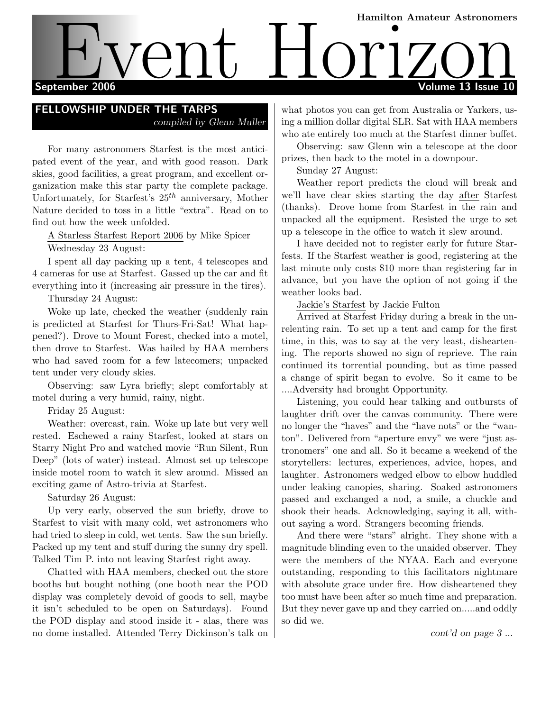# Hamilton Amateur Astronomers September 2006 **Volume 13** Issue 10 EVent Hamilton Amateur Astronomers

# FELLOWSHIP UNDER THE TARPS compiled by Glenn Muller

For many astronomers Starfest is the most anticipated event of the year, and with good reason. Dark skies, good facilities, a great program, and excellent organization make this star party the complete package. Unfortunately, for Starfest's  $25<sup>th</sup>$  anniversary, Mother Nature decided to toss in a little "extra". Read on to find out how the week unfolded.

A Starless Starfest Report 2006 by Mike Spicer

Wednesday 23 August:

I spent all day packing up a tent, 4 telescopes and 4 cameras for use at Starfest. Gassed up the car and fit everything into it (increasing air pressure in the tires).

Thursday 24 August:

Woke up late, checked the weather (suddenly rain is predicted at Starfest for Thurs-Fri-Sat! What happened?). Drove to Mount Forest, checked into a motel, then drove to Starfest. Was hailed by HAA members who had saved room for a few latecomers; unpacked tent under very cloudy skies.

Observing: saw Lyra briefly; slept comfortably at motel during a very humid, rainy, night.

Friday 25 August:

Weather: overcast, rain. Woke up late but very well rested. Eschewed a rainy Starfest, looked at stars on Starry Night Pro and watched movie "Run Silent, Run Deep" (lots of water) instead. Almost set up telescope inside motel room to watch it slew around. Missed an exciting game of Astro-trivia at Starfest.

Saturday 26 August:

Up very early, observed the sun briefly, drove to Starfest to visit with many cold, wet astronomers who had tried to sleep in cold, wet tents. Saw the sun briefly. Packed up my tent and stuff during the sunny dry spell. Talked Tim P. into not leaving Starfest right away.

Chatted with HAA members, checked out the store booths but bought nothing (one booth near the POD display was completely devoid of goods to sell, maybe it isn't scheduled to be open on Saturdays). Found the POD display and stood inside it - alas, there was no dome installed. Attended Terry Dickinson's talk on

what photos you can get from Australia or Yarkers, using a million dollar digital SLR. Sat with HAA members who ate entirely too much at the Starfest dinner buffet.

Observing: saw Glenn win a telescope at the door prizes, then back to the motel in a downpour.

Sunday 27 August:

Weather report predicts the cloud will break and we'll have clear skies starting the day after Starfest (thanks). Drove home from Starfest in the rain and unpacked all the equipment. Resisted the urge to set up a telescope in the office to watch it slew around.

I have decided not to register early for future Starfests. If the Starfest weather is good, registering at the last minute only costs \$10 more than registering far in advance, but you have the option of not going if the weather looks bad.

Jackie's Starfest by Jackie Fulton

Arrived at Starfest Friday during a break in the unrelenting rain. To set up a tent and camp for the first time, in this, was to say at the very least, disheartening. The reports showed no sign of reprieve. The rain continued its torrential pounding, but as time passed a change of spirit began to evolve. So it came to be ....Adversity had brought Opportunity.

Listening, you could hear talking and outbursts of laughter drift over the canvas community. There were no longer the "haves" and the "have nots" or the "wanton". Delivered from "aperture envy" we were "just astronomers" one and all. So it became a weekend of the storytellers: lectures, experiences, advice, hopes, and laughter. Astronomers wedged elbow to elbow huddled under leaking canopies, sharing. Soaked astronomers passed and exchanged a nod, a smile, a chuckle and shook their heads. Acknowledging, saying it all, without saying a word. Strangers becoming friends.

And there were "stars" alright. They shone with a magnitude blinding even to the unaided observer. They were the members of the NYAA. Each and everyone outstanding, responding to this facilitators nightmare with absolute grace under fire. How disheartened they too must have been after so much time and preparation. But they never gave up and they carried on.....and oddly so did we.

cont'd on page 3 ...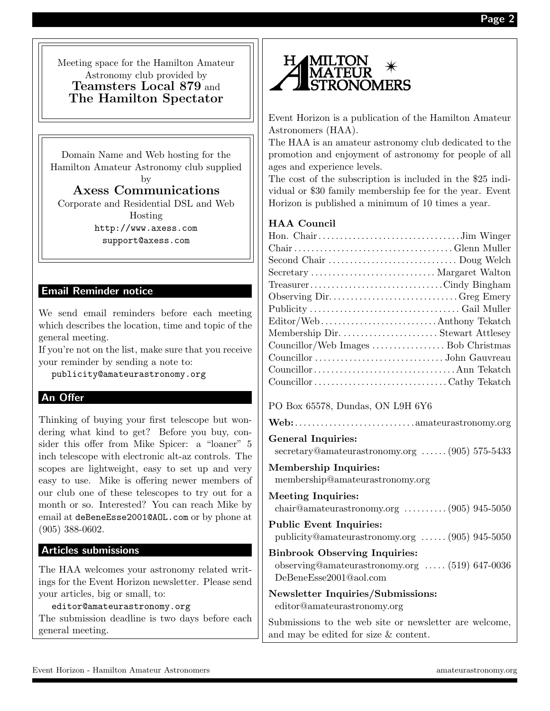Meeting space for the Hamilton Amateur Astronomy club provided by Teamsters Local 879 and The Hamilton Spectator

Domain Name and Web hosting for the Hamilton Amateur Astronomy club supplied by

Axess Communications Corporate and Residential DSL and Web Hosting

http://www.axess.com support@axess.com

# Email Reminder notice

We send email reminders before each meeting which describes the location, time and topic of the general meeting.

If you're not on the list, make sure that you receive your reminder by sending a note to:

publicity@amateurastronomy.org

# An Offer

Thinking of buying your first telescope but wondering what kind to get? Before you buy, consider this offer from Mike Spicer: a "loaner" 5 inch telescope with electronic alt-az controls. The scopes are lightweight, easy to set up and very easy to use. Mike is offering newer members of our club one of these telescopes to try out for a month or so. Interested? You can reach Mike by email at deBeneEsse2001@AOL.com or by phone at (905) 388-0602.

# Articles submissions

The HAA welcomes your astronomy related writings for the Event Horizon newsletter. Please send your articles, big or small, to:

editor@amateurastronomy.org

The submission deadline is two days before each general meeting.



Event Horizon is a publication of the Hamilton Amateur Astronomers (HAA).

The HAA is an amateur astronomy club dedicated to the promotion and enjoyment of astronomy for people of all ages and experience levels.

The cost of the subscription is included in the \$25 individual or \$30 family membership fee for the year. Event Horizon is published a minimum of 10 times a year.

# HAA Council

| Second Chair  Doug Welch             |  |
|--------------------------------------|--|
| Secretary  Margaret Walton           |  |
| TreasurerCindy Bingham               |  |
| Observing DirGreg Emery              |  |
|                                      |  |
| Editor/WebAnthony Tekatch            |  |
| Membership Dir.  Stewart Attlesey    |  |
| Councillor/Web Images  Bob Christmas |  |
|                                      |  |
|                                      |  |
|                                      |  |
|                                      |  |

# PO Box 65578, Dundas, ON L9H 6Y6

|--|--|

# General Inquiries:

secretary@amateurastronomy.org . . . . . . (905) 575-5433

#### Membership Inquiries: membership@amateurastronomy.org

Meeting Inquiries: chair@amateurastronomy.org . . . . . . . . . . (905) 945-5050 Public Event Inquiries: publicity@amateurastronomy.org . . . . . . (905) 945-5050 Binbrook Observing Inquiries: observing@amateurastronomy.org . . . . . (519) 647-0036 DeBeneEsse2001@aol.com Newsletter Inquiries/Submissions:

editor@amateurastronomy.org

Submissions to the web site or newsletter are welcome, and may be edited for size & content.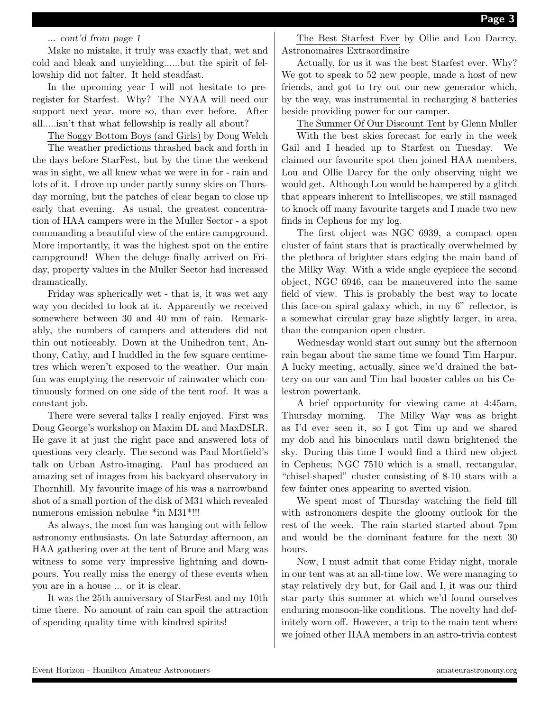#### ... cont'd from page 1

Make no mistake, it truly was exactly that, wet and cold and bleak and unyielding......but the spirit of fellowship did not falter. It held steadfast.

In the upcoming year I will not hesitate to preregister for Starfest. Why? The NYAA will need our support next year, more so, than ever before. After all.....isn't that what fellowship is really all about?

The Soggy Bottom Boys (and Girls) by Doug Welch

The weather predictions thrashed back and forth in the days before StarFest, but by the time the weekend was in sight, we all knew what we were in for - rain and lots of it. I drove up under partly sunny skies on Thursday morning, but the patches of clear began to close up early that evening. As usual, the greatest concentration of HAA campers were in the Muller Sector - a spot commanding a beautiful view of the entire campground. More importantly, it was the highest spot on the entire campground! When the deluge finally arrived on Friday, property values in the Muller Sector had increased dramatically.

Friday was spherically wet - that is, it was wet any way you decided to look at it. Apparently we received somewhere between 30 and 40 mm of rain. Remarkably, the numbers of campers and attendees did not thin out noticeably. Down at the Unihedron tent, Anthony, Cathy, and I huddled in the few square centimetres which weren't exposed to the weather. Our main fun was emptying the reservoir of rainwater which continuously formed on one side of the tent roof. It was a constant job.

There were several talks I really enjoyed. First was Doug George's workshop on Maxim DL and MaxDSLR. He gave it at just the right pace and answered lots of questions very clearly. The second was Paul Mortfield's talk on Urban Astro-imaging. Paul has produced an amazing set of images from his backyard observatory in Thornhill. My favourite image of his was a narrowband shot of a small portion of the disk of M31 which revealed numerous emission nebulae \*in M31\*!!!

As always, the most fun was hanging out with fellow astronomy enthusiasts. On late Saturday afternoon, an HAA gathering over at the tent of Bruce and Marg was witness to some very impressive lightning and downpours. You really miss the energy of these events when you are in a house ... or it is clear.

It was the 25th anniversary of StarFest and my 10th time there. No amount of rain can spoil the attraction of spending quality time with kindred spirits!

The Best Starfest Ever by Ollie and Lou Dacrcy, Astronomaires Extraordinaire

Actually, for us it was the best Starfest ever. Why? We got to speak to 52 new people, made a host of new friends, and got to try out our new generator which, by the way, was instrumental in recharging 8 batteries beside providing power for our camper.

The Summer Of Our Discount Tent by Glenn Muller

With the best skies forecast for early in the week Gail and I headed up to Starfest on Tuesday. We claimed our favourite spot then joined HAA members, Lou and Ollie Darcy for the only observing night we would get. Although Lou would be hampered by a glitch that appears inherent to Intelliscopes, we still managed to knock off many favourite targets and I made two new finds in Cepheus for my log.

The first object was NGC 6939, a compact open cluster of faint stars that is practically overwhelmed by the plethora of brighter stars edging the main band of the Milky Way. With a wide angle eyepiece the second object, NGC 6946, can be maneuvered into the same field of view. This is probably the best way to locate this face-on spiral galaxy which, in my 6" reflector, is a somewhat circular gray haze slightly larger, in area, than the companion open cluster.

Wednesday would start out sunny but the afternoon rain began about the same time we found Tim Harpur. A lucky meeting, actually, since we'd drained the battery on our van and Tim had booster cables on his Celestron powertank.

A brief opportunity for viewing came at 4:45am, Thursday morning. The Milky Way was as bright as I'd ever seen it, so I got Tim up and we shared my dob and his binoculars until dawn brightened the sky. During this time I would find a third new object in Cepheus; NGC 7510 which is a small, rectangular, "chisel-shaped" cluster consisting of 8-10 stars with a few fainter ones appearing to averted vision.

We spent most of Thursday watching the field fill with astronomers despite the gloomy outlook for the rest of the week. The rain started started about 7pm and would be the dominant feature for the next 30 hours.

Now, I must admit that come Friday night, morale in our tent was at an all-time low. We were managing to stay relatively dry but, for Gail and I, it was our third star party this summer at which we'd found ourselves enduring monsoon-like conditions. The novelty had definitely worn off. However, a trip to the main tent where we joined other HAA members in an astro-trivia contest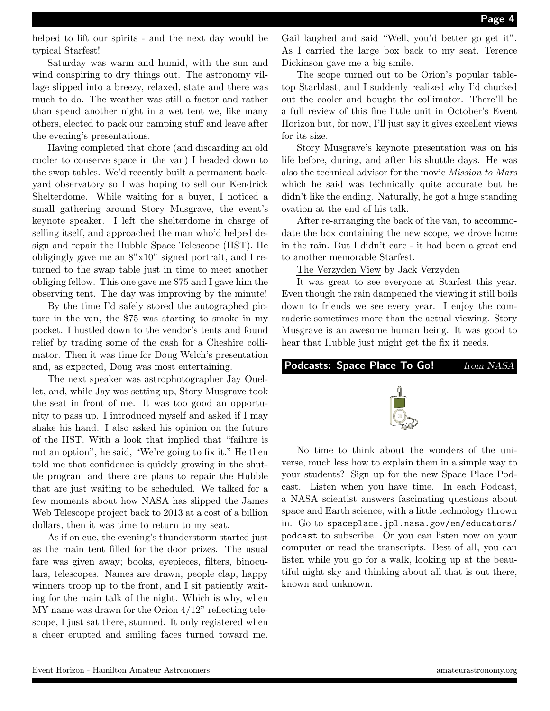helped to lift our spirits - and the next day would be typical Starfest!

Saturday was warm and humid, with the sun and wind conspiring to dry things out. The astronomy village slipped into a breezy, relaxed, state and there was much to do. The weather was still a factor and rather than spend another night in a wet tent we, like many others, elected to pack our camping stuff and leave after the evening's presentations.

Having completed that chore (and discarding an old cooler to conserve space in the van) I headed down to the swap tables. We'd recently built a permanent backyard observatory so I was hoping to sell our Kendrick Shelterdome. While waiting for a buyer, I noticed a small gathering around Story Musgrave, the event's keynote speaker. I left the shelterdome in charge of selling itself, and approached the man who'd helped design and repair the Hubble Space Telescope (HST). He obligingly gave me an 8"x10" signed portrait, and I returned to the swap table just in time to meet another obliging fellow. This one gave me \$75 and I gave him the observing tent. The day was improving by the minute!

By the time I'd safely stored the autographed picture in the van, the \$75 was starting to smoke in my pocket. I hustled down to the vendor's tents and found relief by trading some of the cash for a Cheshire collimator. Then it was time for Doug Welch's presentation and, as expected, Doug was most entertaining.

The next speaker was astrophotographer Jay Ouellet, and, while Jay was setting up, Story Musgrave took the seat in front of me. It was too good an opportunity to pass up. I introduced myself and asked if I may shake his hand. I also asked his opinion on the future of the HST. With a look that implied that "failure is not an option", he said, "We're going to fix it." He then told me that confidence is quickly growing in the shuttle program and there are plans to repair the Hubble that are just waiting to be scheduled. We talked for a few moments about how NASA has slipped the James Web Telescope project back to 2013 at a cost of a billion dollars, then it was time to return to my seat.

As if on cue, the evening's thunderstorm started just as the main tent filled for the door prizes. The usual fare was given away; books, eyepieces, filters, binoculars, telescopes. Names are drawn, people clap, happy winners troop up to the front, and I sit patiently waiting for the main talk of the night. Which is why, when MY name was drawn for the Orion 4/12" reflecting telescope, I just sat there, stunned. It only registered when a cheer erupted and smiling faces turned toward me.

Gail laughed and said "Well, you'd better go get it". As I carried the large box back to my seat, Terence Dickinson gave me a big smile.

The scope turned out to be Orion's popular tabletop Starblast, and I suddenly realized why I'd chucked out the cooler and bought the collimator. There'll be a full review of this fine little unit in October's Event Horizon but, for now, I'll just say it gives excellent views for its size.

Story Musgrave's keynote presentation was on his life before, during, and after his shuttle days. He was also the technical advisor for the movie Mission to Mars which he said was technically quite accurate but he didn't like the ending. Naturally, he got a huge standing ovation at the end of his talk.

After re-arranging the back of the van, to accommodate the box containing the new scope, we drove home in the rain. But I didn't care - it had been a great end to another memorable Starfest.

The Verzyden View by Jack Verzyden

It was great to see everyone at Starfest this year. Even though the rain dampened the viewing it still boils down to friends we see every year. I enjoy the comraderie sometimes more than the actual viewing. Story Musgrave is an awesome human being. It was good to hear that Hubble just might get the fix it needs.

# Podcasts: Space Place To Go! from NASA



No time to think about the wonders of the universe, much less how to explain them in a simple way to your students? Sign up for the new Space Place Podcast. Listen when you have time. In each Podcast, a NASA scientist answers fascinating questions about space and Earth science, with a little technology thrown in. Go to spaceplace.jpl.nasa.gov/en/educators/ podcast to subscribe. Or you can listen now on your computer or read the transcripts. Best of all, you can listen while you go for a walk, looking up at the beautiful night sky and thinking about all that is out there, known and unknown.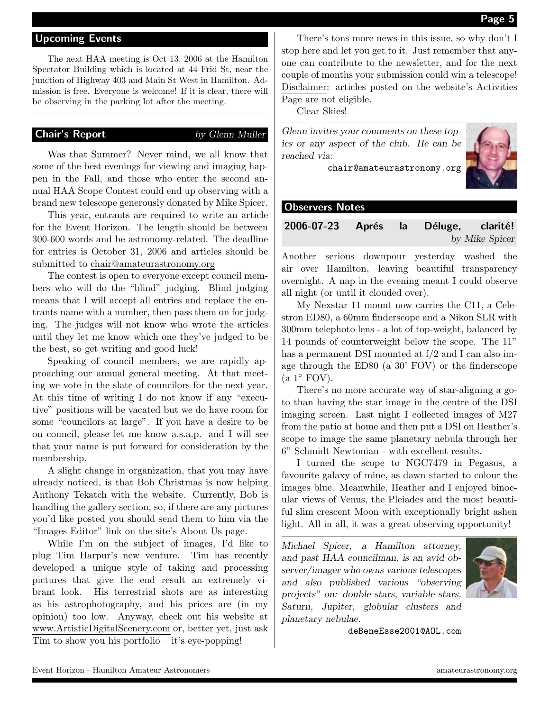#### Upcoming Events

The next HAA meeting is Oct 13, 2006 at the Hamilton Spectator Building which is located at 44 Frid St, near the junction of Highway 403 and Main St West in Hamilton. Admission is free. Everyone is welcome! If it is clear, there will be observing in the parking lot after the meeting.

#### **Chair's Report** by Glenn Muller

Was that Summer? Never mind, we all know that some of the best evenings for viewing and imaging happen in the Fall, and those who enter the second annual HAA Scope Contest could end up observing with a brand new telescope generously donated by Mike Spicer.

This year, entrants are required to write an article for the Event Horizon. The length should be between 300-600 words and be astronomy-related. The deadline for entries is October 31, 2006 and articles should be submitted to chair@amateurastronomy.org

The contest is open to everyone except council members who will do the "blind" judging. Blind judging means that I will accept all entries and replace the entrants name with a number, then pass them on for judging. The judges will not know who wrote the articles until they let me know which one they've judged to be the best, so get writing and good luck!

Speaking of council members, we are rapidly approaching our annual general meeting. At that meeting we vote in the slate of councilors for the next year. At this time of writing I do not know if any "executive" positions will be vacated but we do have room for some "councilors at large". If you have a desire to be on council, please let me know a.s.a.p. and I will see that your name is put forward for consideration by the membership.

A slight change in organization, that you may have already noticed, is that Bob Christmas is now helping Anthony Tekatch with the website. Currently, Bob is handling the gallery section, so, if there are any pictures you'd like posted you should send them to him via the "Images Editor" link on the site's About Us page.

While I'm on the subject of images, I'd like to plug Tim Harpur's new venture. Tim has recently developed a unique style of taking and processing pictures that give the end result an extremely vibrant look. His terrestrial shots are as interesting as his astrophotography, and his prices are (in my opinion) too low. Anyway, check out his website at www.ArtisticDigitalScenery.com or, better yet, just ask Tim to show you his portfolio – it's eye-popping!

There's tons more news in this issue, so why don't I stop here and let you get to it. Just remember that anyone can contribute to the newsletter, and for the next couple of months your submission could win a telescope! Disclaimer: articles posted on the website's Activities Page are not eligible.

Clear Skies!

Glenn invites your comments on these topics or any aspect of the club. He can be reached via:



# Observers Notes

# 2006-07-23 Aprés la Déluge, clarité! by Mike Spicer

Another serious downpour yesterday washed the air over Hamilton, leaving beautiful transparency overnight. A nap in the evening meant I could observe all night (or until it clouded over).

My Nexstar 11 mount now carries the C11, a Celestron ED80, a 60mm finderscope and a Nikon SLR with 300mm telephoto lens - a lot of top-weight, balanced by 14 pounds of counterweight below the scope. The 11" has a permanent DSI mounted at  $f/2$  and I can also image through the ED80 (a 30' FOV) or the finderscope  $(a 1° FOV).$ 

There's no more accurate way of star-aligning a goto than having the star image in the centre of the DSI imaging screen. Last night I collected images of M27 from the patio at home and then put a DSI on Heather's scope to image the same planetary nebula through her 6" Schmidt-Newtonian - with excellent results.

I turned the scope to NGC7479 in Pegasus, a favourite galaxy of mine, as dawn started to colour the images blue. Meanwhile, Heather and I enjoyed binocular views of Venus, the Pleiades and the most beautiful slim crescent Moon with exceptionally bright ashen light. All in all, it was a great observing opportunity!

Michael Spicer, a Hamilton attorney, and past HAA councilman, is an avid observer/imager who owns various telescopes and also published various "observing projects" on: double stars, variable stars, Saturn, Jupiter, globular clusters and planetary nebulae.



deBeneEsse2001@AOL.com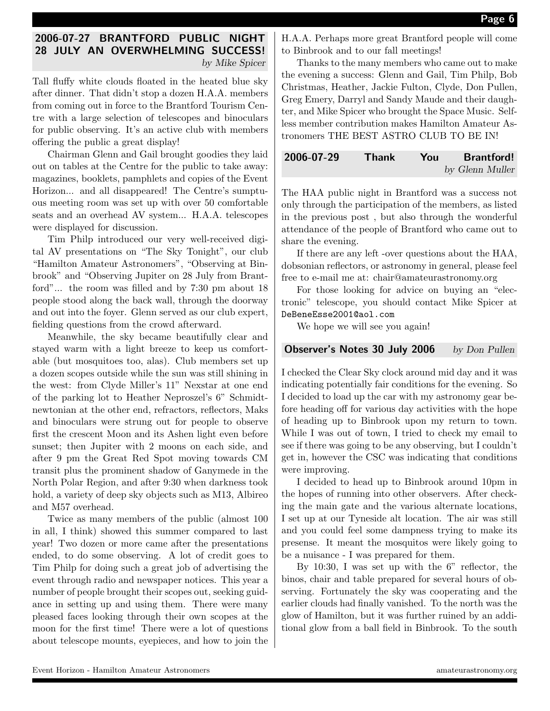# 2006-07-27 BRANTFORD PUBLIC NIGHT 28 JULY AN OVERWHELMING SUCCESS! by Mike Spicer

Tall fluffy white clouds floated in the heated blue sky after dinner. That didn't stop a dozen H.A.A. members from coming out in force to the Brantford Tourism Centre with a large selection of telescopes and binoculars for public observing. It's an active club with members offering the public a great display!

Chairman Glenn and Gail brought goodies they laid out on tables at the Centre for the public to take away: magazines, booklets, pamphlets and copies of the Event Horizon... and all disappeared! The Centre's sumptuous meeting room was set up with over 50 comfortable seats and an overhead AV system... H.A.A. telescopes were displayed for discussion.

Tim Philp introduced our very well-received digital AV presentations on "The Sky Tonight", our club "Hamilton Amateur Astronomers", "Observing at Binbrook" and "Observing Jupiter on 28 July from Brantford"... the room was filled and by 7:30 pm about 18 people stood along the back wall, through the doorway and out into the foyer. Glenn served as our club expert, fielding questions from the crowd afterward.

Meanwhile, the sky became beautifully clear and stayed warm with a light breeze to keep us comfortable (but mosquitoes too, alas). Club members set up a dozen scopes outside while the sun was still shining in the west: from Clyde Miller's 11" Nexstar at one end of the parking lot to Heather Neproszel's 6" Schmidtnewtonian at the other end, refractors, reflectors, Maks and binoculars were strung out for people to observe first the crescent Moon and its Ashen light even before sunset; then Jupiter with 2 moons on each side, and after 9 pm the Great Red Spot moving towards CM transit plus the prominent shadow of Ganymede in the North Polar Region, and after 9:30 when darkness took hold, a variety of deep sky objects such as M13, Albireo and M57 overhead.

Twice as many members of the public (almost 100 in all, I think) showed this summer compared to last year! Two dozen or more came after the presentations ended, to do some observing. A lot of credit goes to Tim Philp for doing such a great job of advertising the event through radio and newspaper notices. This year a number of people brought their scopes out, seeking guidance in setting up and using them. There were many pleased faces looking through their own scopes at the moon for the first time! There were a lot of questions about telescope mounts, eyepieces, and how to join the H.A.A. Perhaps more great Brantford people will come to Binbrook and to our fall meetings!

Thanks to the many members who came out to make the evening a success: Glenn and Gail, Tim Philp, Bob Christmas, Heather, Jackie Fulton, Clyde, Don Pullen, Greg Emery, Darryl and Sandy Maude and their daughter, and Mike Spicer who brought the Space Music. Selfless member contribution makes Hamilton Amateur Astronomers THE BEST ASTRO CLUB TO BE IN!

| 2006-07-29 | Thank | You | <b>Brantford!</b> |
|------------|-------|-----|-------------------|
|            |       |     | by Glenn Muller   |

The HAA public night in Brantford was a success not only through the participation of the members, as listed in the previous post , but also through the wonderful attendance of the people of Brantford who came out to share the evening.

If there are any left -over questions about the HAA, dobsonian reflectors, or astronomy in general, please feel free to e-mail me at: chair@amateurastronomy.org

For those looking for advice on buying an "electronic" telescope, you should contact Mike Spicer at DeBeneEsse2001@aol.com

We hope we will see you again!

### Observer's Notes 30 July 2006 by Don Pullen

I checked the Clear Sky clock around mid day and it was indicating potentially fair conditions for the evening. So I decided to load up the car with my astronomy gear before heading off for various day activities with the hope of heading up to Binbrook upon my return to town. While I was out of town, I tried to check my email to see if there was going to be any observing, but I couldn't get in, however the CSC was indicating that conditions were improving.

I decided to head up to Binbrook around 10pm in the hopes of running into other observers. After checking the main gate and the various alternate locations, I set up at our Tyneside alt location. The air was still and you could feel some dampness trying to make its presense. It meant the mosquitos were likely going to be a nuisance - I was prepared for them.

By 10:30, I was set up with the 6" reflector, the binos, chair and table prepared for several hours of observing. Fortunately the sky was cooperating and the earlier clouds had finally vanished. To the north was the glow of Hamilton, but it was further ruined by an additional glow from a ball field in Binbrook. To the south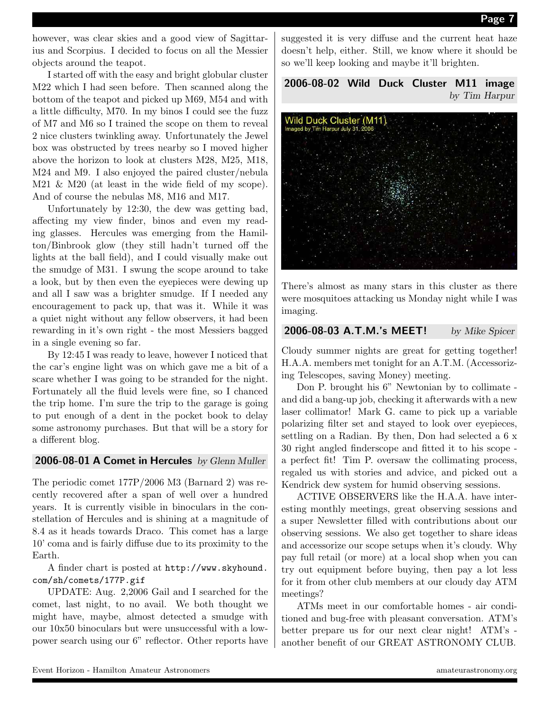however, was clear skies and a good view of Sagittarius and Scorpius. I decided to focus on all the Messier objects around the teapot.

I started off with the easy and bright globular cluster M22 which I had seen before. Then scanned along the bottom of the teapot and picked up M69, M54 and with a little difficulty, M70. In my binos I could see the fuzz of M7 and M6 so I trained the scope on them to reveal 2 nice clusters twinkling away. Unfortunately the Jewel box was obstructed by trees nearby so I moved higher above the horizon to look at clusters M28, M25, M18, M24 and M9. I also enjoyed the paired cluster/nebula M21 & M20 (at least in the wide field of my scope). And of course the nebulas M8, M16 and M17.

Unfortunately by 12:30, the dew was getting bad, affecting my view finder, binos and even my reading glasses. Hercules was emerging from the Hamilton/Binbrook glow (they still hadn't turned off the lights at the ball field), and I could visually make out the smudge of M31. I swung the scope around to take a look, but by then even the eyepieces were dewing up and all I saw was a brighter smudge. If I needed any encouragement to pack up, that was it. While it was a quiet night without any fellow observers, it had been rewarding in it's own right - the most Messiers bagged in a single evening so far.

By 12:45 I was ready to leave, however I noticed that the car's engine light was on which gave me a bit of a scare whether I was going to be stranded for the night. Fortunately all the fluid levels were fine, so I chanced the trip home. I'm sure the trip to the garage is going to put enough of a dent in the pocket book to delay some astronomy purchases. But that will be a story for a different blog.

#### 2006-08-01 A Comet in Hercules by Glenn Muller

The periodic comet 177P/2006 M3 (Barnard 2) was recently recovered after a span of well over a hundred years. It is currently visible in binoculars in the constellation of Hercules and is shining at a magnitude of 8.4 as it heads towards Draco. This comet has a large 10' coma and is fairly diffuse due to its proximity to the Earth.

#### A finder chart is posted at http://www.skyhound. com/sh/comets/177P.gif

UPDATE: Aug. 2,2006 Gail and I searched for the comet, last night, to no avail. We both thought we might have, maybe, almost detected a smudge with our 10x50 binoculars but were unsuccessful with a lowpower search using our 6" reflector. Other reports have suggested it is very diffuse and the current heat haze doesn't help, either. Still, we know where it should be so we'll keep looking and maybe it'll brighten.

2006-08-02 Wild Duck Cluster M11 image by Tim Harpur



There's almost as many stars in this cluster as there were mosquitoes attacking us Monday night while I was imaging.

# 2006-08-03 A.T.M.'s MEET! by Mike Spicer

Cloudy summer nights are great for getting together! H.A.A. members met tonight for an A.T.M. (Accessorizing Telescopes, saving Money) meeting.

Don P. brought his 6" Newtonian by to collimate and did a bang-up job, checking it afterwards with a new laser collimator! Mark G. came to pick up a variable polarizing filter set and stayed to look over eyepieces, settling on a Radian. By then, Don had selected a 6 x 30 right angled finderscope and fitted it to his scope a perfect fit! Tim P. oversaw the collimating process, regaled us with stories and advice, and picked out a Kendrick dew system for humid observing sessions.

ACTIVE OBSERVERS like the H.A.A. have interesting monthly meetings, great observing sessions and a super Newsletter filled with contributions about our observing sessions. We also get together to share ideas and accessorize our scope setups when it's cloudy. Why pay full retail (or more) at a local shop when you can try out equipment before buying, then pay a lot less for it from other club members at our cloudy day ATM meetings?

ATMs meet in our comfortable homes - air conditioned and bug-free with pleasant conversation. ATM's better prepare us for our next clear night! ATM's another benefit of our GREAT ASTRONOMY CLUB.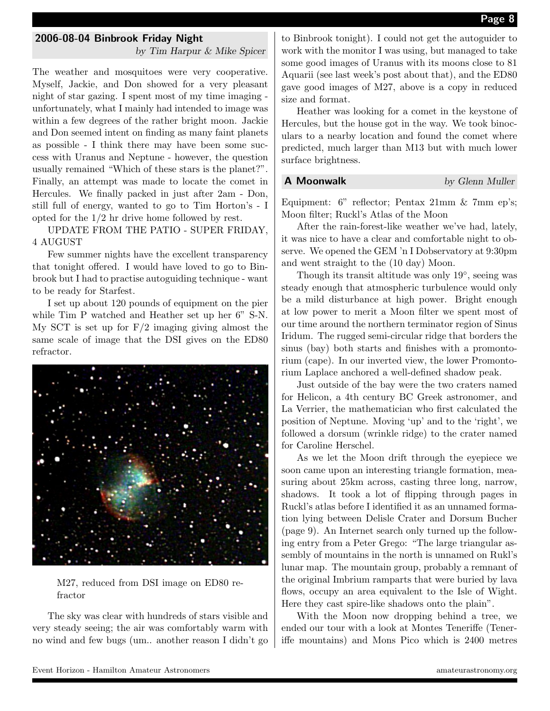#### 2006-08-04 Binbrook Friday Night

by Tim Harpur & Mike Spicer

The weather and mosquitoes were very cooperative. Myself, Jackie, and Don showed for a very pleasant night of star gazing. I spent most of my time imaging unfortunately, what I mainly had intended to image was within a few degrees of the rather bright moon. Jackie and Don seemed intent on finding as many faint planets as possible - I think there may have been some success with Uranus and Neptune - however, the question usually remained "Which of these stars is the planet?". Finally, an attempt was made to locate the comet in Hercules. We finally packed in just after 2am - Don, still full of energy, wanted to go to Tim Horton's - I opted for the 1/2 hr drive home followed by rest.

UPDATE FROM THE PATIO - SUPER FRIDAY, 4 AUGUST

Few summer nights have the excellent transparency that tonight offered. I would have loved to go to Binbrook but I had to practise autoguiding technique - want to be ready for Starfest.

I set up about 120 pounds of equipment on the pier while Tim P watched and Heather set up her 6" S-N. My SCT is set up for  $F/2$  imaging giving almost the same scale of image that the DSI gives on the ED80 refractor.



M27, reduced from DSI image on ED80 refractor

The sky was clear with hundreds of stars visible and very steady seeing; the air was comfortably warm with no wind and few bugs (um.. another reason I didn't go to Binbrook tonight). I could not get the autoguider to work with the monitor I was using, but managed to take some good images of Uranus with its moons close to 81 Aquarii (see last week's post about that), and the ED80 gave good images of M27, above is a copy in reduced size and format.

Heather was looking for a comet in the keystone of Hercules, but the house got in the way. We took binoculars to a nearby location and found the comet where predicted, much larger than M13 but with much lower surface brightness.

#### **A Moonwalk** by Glenn Muller

Equipment: 6" reflector; Pentax 21mm & 7mm ep's; Moon filter; Ruckl's Atlas of the Moon

After the rain-forest-like weather we've had, lately, it was nice to have a clear and comfortable night to observe. We opened the GEM 'n I Dobservatory at 9:30pm and went straight to the (10 day) Moon.

Though its transit altitude was only 19◦ , seeing was steady enough that atmospheric turbulence would only be a mild disturbance at high power. Bright enough at low power to merit a Moon filter we spent most of our time around the northern terminator region of Sinus Iridum. The rugged semi-circular ridge that borders the sinus (bay) both starts and finishes with a promontorium (cape). In our inverted view, the lower Promontorium Laplace anchored a well-defined shadow peak.

Just outside of the bay were the two craters named for Helicon, a 4th century BC Greek astronomer, and La Verrier, the mathematician who first calculated the position of Neptune. Moving 'up' and to the 'right', we followed a dorsum (wrinkle ridge) to the crater named for Caroline Herschel.

As we let the Moon drift through the eyepiece we soon came upon an interesting triangle formation, measuring about 25km across, casting three long, narrow, shadows. It took a lot of flipping through pages in Ruckl's atlas before I identified it as an unnamed formation lying between Delisle Crater and Dorsum Bucher (page 9). An Internet search only turned up the following entry from a Peter Grego: "The large triangular assembly of mountains in the north is unnamed on Rukl's lunar map. The mountain group, probably a remnant of the original Imbrium ramparts that were buried by lava flows, occupy an area equivalent to the Isle of Wight. Here they cast spire-like shadows onto the plain".

With the Moon now dropping behind a tree, we ended our tour with a look at Montes Teneriffe (Teneriffe mountains) and Mons Pico which is 2400 metres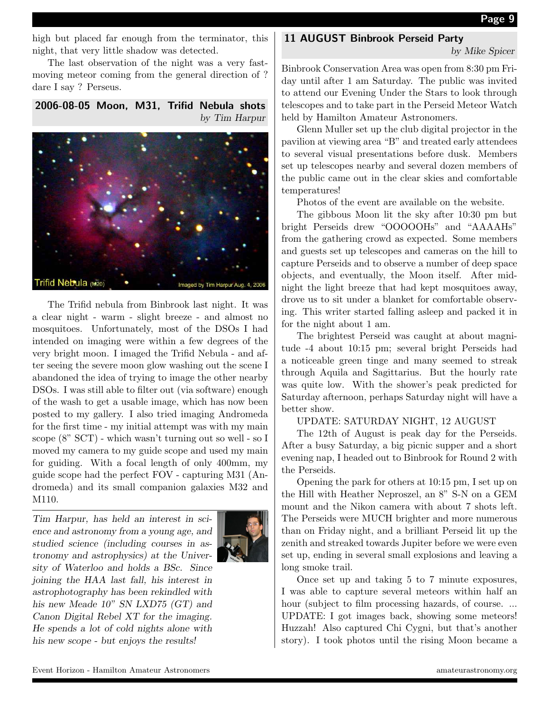Page 9

high but placed far enough from the terminator, this night, that very little shadow was detected.

The last observation of the night was a very fastmoving meteor coming from the general direction of ? dare I say ? Perseus.

2006-08-05 Moon, M31, Trifid Nebula shots by Tim Harpur



The Trifid nebula from Binbrook last night. It was a clear night - warm - slight breeze - and almost no mosquitoes. Unfortunately, most of the DSOs I had intended on imaging were within a few degrees of the very bright moon. I imaged the Trifid Nebula - and after seeing the severe moon glow washing out the scene I abandoned the idea of trying to image the other nearby DSOs. I was still able to filter out (via software) enough of the wash to get a usable image, which has now been posted to my gallery. I also tried imaging Andromeda for the first time - my initial attempt was with my main scope (8" SCT) - which wasn't turning out so well - so I moved my camera to my guide scope and used my main for guiding. With a focal length of only 400mm, my guide scope had the perfect FOV - capturing M31 (Andromeda) and its small companion galaxies M32 and M110.

Tim Harpur, has held an interest in science and astronomy from a young age, and studied science (including courses in astronomy and astrophysics) at the University of Waterloo and holds a BSc. Since joining the HAA last fall, his interest in astrophotography has been rekindled with his new Meade 10" SN LXD75 (GT) and Canon Digital Rebel XT for the imaging. He spends a lot of cold nights alone with his new scope - but enjoys the results!



#### 11 AUGUST Binbrook Perseid Party

by Mike Spicer

Binbrook Conservation Area was open from 8:30 pm Friday until after 1 am Saturday. The public was invited to attend our Evening Under the Stars to look through telescopes and to take part in the Perseid Meteor Watch held by Hamilton Amateur Astronomers.

Glenn Muller set up the club digital projector in the pavilion at viewing area "B" and treated early attendees to several visual presentations before dusk. Members set up telescopes nearby and several dozen members of the public came out in the clear skies and comfortable temperatures!

Photos of the event are available on the website.

The gibbous Moon lit the sky after 10:30 pm but bright Perseids drew "OOOOOHs" and "AAAAHs" from the gathering crowd as expected. Some members and guests set up telescopes and cameras on the hill to capture Perseids and to observe a number of deep space objects, and eventually, the Moon itself. After midnight the light breeze that had kept mosquitoes away, drove us to sit under a blanket for comfortable observing. This writer started falling asleep and packed it in for the night about 1 am.

The brightest Perseid was caught at about magnitude -4 about 10:15 pm; several bright Perseids had a noticeable green tinge and many seemed to streak through Aquila and Sagittarius. But the hourly rate was quite low. With the shower's peak predicted for Saturday afternoon, perhaps Saturday night will have a better show.

#### UPDATE: SATURDAY NIGHT, 12 AUGUST

The 12th of August is peak day for the Perseids. After a busy Saturday, a big picnic supper and a short evening nap, I headed out to Binbrook for Round 2 with the Perseids.

Opening the park for others at 10:15 pm, I set up on the Hill with Heather Neproszel, an 8" S-N on a GEM mount and the Nikon camera with about 7 shots left. The Perseids were MUCH brighter and more numerous than on Friday night, and a brilliant Perseid lit up the zenith and streaked towards Jupiter before we were even set up, ending in several small explosions and leaving a long smoke trail.

Once set up and taking 5 to 7 minute exposures, I was able to capture several meteors within half an hour (subject to film processing hazards, of course... UPDATE: I got images back, showing some meteors! Huzzah! Also captured Chi Cygni, but that's another story). I took photos until the rising Moon became a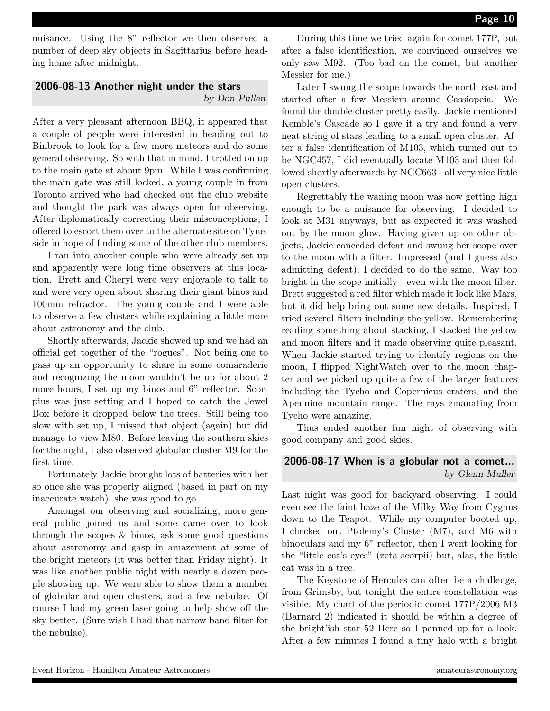nuisance. Using the 8" reflector we then observed a number of deep sky objects in Sagittarius before heading home after midnight.

# 2006-08-13 Another night under the stars by Don Pullen

After a very pleasant afternoon BBQ, it appeared that a couple of people were interested in heading out to Binbrook to look for a few more meteors and do some general observing. So with that in mind, I trotted on up to the main gate at about 9pm. While I was confirming the main gate was still locked, a young couple in from Toronto arrived who had checked out the club website and thought the park was always open for observing. After diplomatically correcting their misconceptions, I offered to escort them over to the alternate site on Tyneside in hope of finding some of the other club members.

I ran into another couple who were already set up and apparently were long time observers at this location. Brett and Cheryl were very enjoyable to talk to and were very open about sharing their giant binos and 100mm refractor. The young couple and I were able to observe a few clusters while explaining a little more about astronomy and the club.

Shortly afterwards, Jackie showed up and we had an official get together of the "rogues". Not being one to pass up an opportunity to share in some comaraderie and recognizing the moon wouldn't be up for about 2 more hours, I set up my binos and 6" reflector. Scorpius was just setting and I hoped to catch the Jewel Box before it dropped below the trees. Still being too slow with set up, I missed that object (again) but did manage to view M80. Before leaving the southern skies for the night, I also observed globular cluster M9 for the first time.

Fortunately Jackie brought lots of batteries with her so once she was properly aligned (based in part on my inaccurate watch), she was good to go.

Amongst our observing and socializing, more general public joined us and some came over to look through the scopes & binos, ask some good questions about astronomy and gasp in amazement at some of the bright meteors (it was better than Friday night). It was like another public night with nearly a dozen people showing up. We were able to show them a number of globular and open clusters, and a few nebulae. Of course I had my green laser going to help show off the sky better. (Sure wish I had that narrow band filter for the nebulae).

During this time we tried again for comet 177P, but after a false identification, we convinced ourselves we only saw M92. (Too bad on the comet, but another Messier for me.)

Later I swung the scope towards the north east and started after a few Messiers around Cassiopeia. We found the double cluster pretty easily. Jackie mentioned Kemble's Cascade so I gave it a try and found a very neat string of stars leading to a small open cluster. After a false identification of M103, which turned out to be NGC457, I did eventually locate M103 and then followed shortly afterwards by NGC663 - all very nice little open clusters.

Regrettably the waning moon was now getting high enough to be a nuisance for observing. I decided to look at M31 anyways, but as expected it was washed out by the moon glow. Having given up on other objects, Jackie conceded defeat and swung her scope over to the moon with a filter. Impressed (and I guess also admitting defeat), I decided to do the same. Way too bright in the scope initially - even with the moon filter. Brett suggested a red filter which made it look like Mars, but it did help bring out some new details. Inspired, I tried several filters including the yellow. Remembering reading something about stacking, I stacked the yellow and moon filters and it made observing quite pleasant. When Jackie started trying to identify regions on the moon, I flipped NightWatch over to the moon chapter and we picked up quite a few of the larger features including the Tycho and Copernicus craters, and the Apennine mountain range. The rays emanating from Tycho were amazing.

Thus ended another fun night of observing with good company and good skies.

# 2006-08-17 When is a globular not a comet... by Glenn Muller

Last night was good for backyard observing. I could even see the faint haze of the Milky Way from Cygnus down to the Teapot. While my computer booted up, I checked out Ptolemy's Cluster (M7), and M6 with binoculars and my 6" reflector, then I went looking for the "little cat's eyes" (zeta scorpii) but, alas, the little cat was in a tree.

The Keystone of Hercules can often be a challenge, from Grimsby, but tonight the entire constellation was visible. My chart of the periodic comet 177P/2006 M3 (Barnard 2) indicated it should be within a degree of the bright'ish star 52 Herc so I panned up for a look. After a few minutes I found a tiny halo with a bright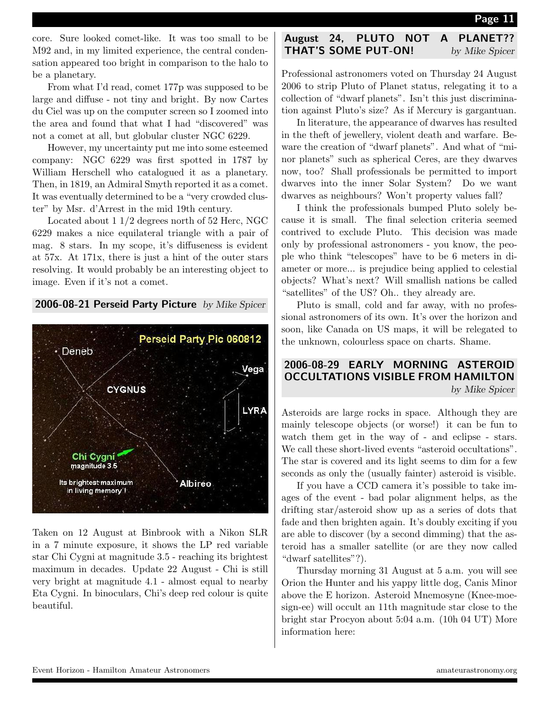core. Sure looked comet-like. It was too small to be M92 and, in my limited experience, the central condensation appeared too bright in comparison to the halo to be a planetary.

From what I'd read, comet 177p was supposed to be large and diffuse - not tiny and bright. By now Cartes du Ciel was up on the computer screen so I zoomed into the area and found that what I had "discovered" was not a comet at all, but globular cluster NGC 6229.

However, my uncertainty put me into some esteemed company: NGC 6229 was first spotted in 1787 by William Herschell who catalogued it as a planetary. Then, in 1819, an Admiral Smyth reported it as a comet. It was eventually determined to be a "very crowded cluster" by Msr. d'Arrest in the mid 19th century.

Located about 1 1/2 degrees north of 52 Herc, NGC 6229 makes a nice equilateral triangle with a pair of mag. 8 stars. In my scope, it's diffuseness is evident at 57x. At 171x, there is just a hint of the outer stars resolving. It would probably be an interesting object to image. Even if it's not a comet.



Taken on 12 August at Binbrook with a Nikon SLR in a 7 minute exposure, it shows the LP red variable star Chi Cygni at magnitude 3.5 - reaching its brightest maximum in decades. Update 22 August - Chi is still very bright at magnitude 4.1 - almost equal to nearby Eta Cygni. In binoculars, Chi's deep red colour is quite beautiful.

# August 24, PLUTO NOT A PLANET?? **THAT'S SOME PUT-ON!** by Mike Spicer

Professional astronomers voted on Thursday 24 August 2006 to strip Pluto of Planet status, relegating it to a collection of "dwarf planets". Isn't this just discrimination against Pluto's size? As if Mercury is gargantuan.

In literature, the appearance of dwarves has resulted in the theft of jewellery, violent death and warfare. Beware the creation of "dwarf planets". And what of "minor planets" such as spherical Ceres, are they dwarves now, too? Shall professionals be permitted to import dwarves into the inner Solar System? Do we want dwarves as neighbours? Won't property values fall?

I think the professionals bumped Pluto solely because it is small. The final selection criteria seemed contrived to exclude Pluto. This decision was made only by professional astronomers - you know, the people who think "telescopes" have to be 6 meters in diameter or more... is prejudice being applied to celestial objects? What's next? Will smallish nations be called "satellites" of the US? Oh.. they already are.

Pluto is small, cold and far away, with no professional astronomers of its own. It's over the horizon and soon, like Canada on US maps, it will be relegated to the unknown, colourless space on charts. Shame.

### 2006-08-29 EARLY MORNING ASTEROID OCCULTATIONS VISIBLE FROM HAMILTON by Mike Spicer

Asteroids are large rocks in space. Although they are mainly telescope objects (or worse!) it can be fun to watch them get in the way of - and eclipse - stars. We call these short-lived events "asteroid occultations". The star is covered and its light seems to dim for a few seconds as only the (usually fainter) asteroid is visible.

If you have a CCD camera it's possible to take images of the event - bad polar alignment helps, as the drifting star/asteroid show up as a series of dots that fade and then brighten again. It's doubly exciting if you are able to discover (by a second dimming) that the asteroid has a smaller satellite (or are they now called "dwarf satellites"?).

Thursday morning 31 August at 5 a.m. you will see Orion the Hunter and his yappy little dog, Canis Minor above the E horizon. Asteroid Mnemosyne (Knee-moesign-ee) will occult an 11th magnitude star close to the bright star Procyon about 5:04 a.m. (10h 04 UT) More information here: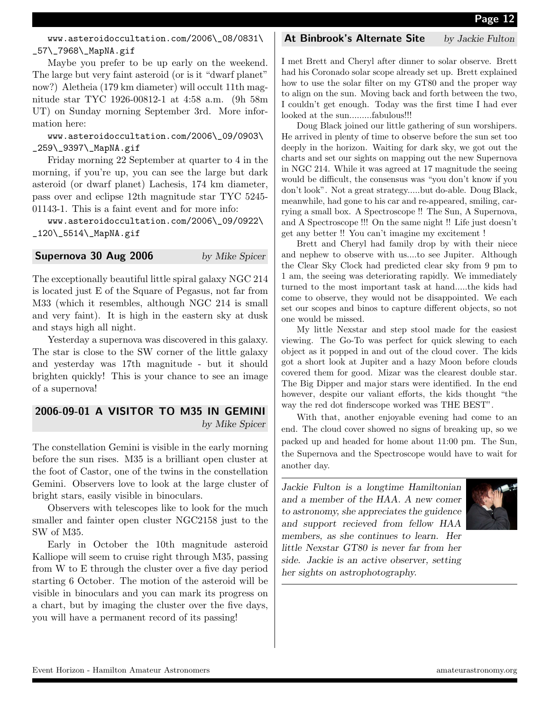### www.asteroidoccultation.com/2006\\_08/0831\ \_57\\_7968\\_MapNA.gif

Maybe you prefer to be up early on the weekend. The large but very faint asteroid (or is it "dwarf planet" now?) Aletheia (179 km diameter) will occult 11th magnitude star TYC 1926-00812-1 at 4:58 a.m. (9h 58m UT) on Sunday morning September 3rd. More information here:

#### www.asteroidoccultation.com/2006\\_09/0903\ \_259\\_9397\\_MapNA.gif

Friday morning 22 September at quarter to 4 in the morning, if you're up, you can see the large but dark asteroid (or dwarf planet) Lachesis, 174 km diameter, pass over and eclipse 12th magnitude star TYC 5245- 01143-1. This is a faint event and for more info:

www.asteroidoccultation.com/2006\\_09/0922\  $_120\angle_5514\angle_MapNA.get$ 

#### **Supernova 30 Aug 2006** by Mike Spicer

The exceptionally beautiful little spiral galaxy NGC 214 is located just E of the Square of Pegasus, not far from M33 (which it resembles, although NGC 214 is small and very faint). It is high in the eastern sky at dusk and stays high all night.

Yesterday a supernova was discovered in this galaxy. The star is close to the SW corner of the little galaxy and yesterday was 17th magnitude - but it should brighten quickly! This is your chance to see an image of a supernova!

# 2006-09-01 A VISITOR TO M35 IN GEMINI by Mike Spicer

The constellation Gemini is visible in the early morning before the sun rises. M35 is a brilliant open cluster at the foot of Castor, one of the twins in the constellation Gemini. Observers love to look at the large cluster of bright stars, easily visible in binoculars.

Observers with telescopes like to look for the much smaller and fainter open cluster NGC2158 just to the SW of M35.

Early in October the 10th magnitude asteroid Kalliope will seem to cruise right through M35, passing from W to E through the cluster over a five day period starting 6 October. The motion of the asteroid will be visible in binoculars and you can mark its progress on a chart, but by imaging the cluster over the five days, you will have a permanent record of its passing!

#### At Binbrook's Alternate Site by Jackie Fulton

I met Brett and Cheryl after dinner to solar observe. Brett had his Coronado solar scope already set up. Brett explained how to use the solar filter on my GT80 and the proper way to align on the sun. Moving back and forth between the two, I couldn't get enough. Today was the first time I had ever looked at the sun.........fabulous!!!

Doug Black joined our little gathering of sun worshipers. He arrived in plenty of time to observe before the sun set too deeply in the horizon. Waiting for dark sky, we got out the charts and set our sights on mapping out the new Supernova in NGC 214. While it was agreed at 17 magnitude the seeing would be difficult, the consensus was "you don't know if you don't look". Not a great strategy.....but do-able. Doug Black, meanwhile, had gone to his car and re-appeared, smiling, carrying a small box. A Spectroscope !! The Sun, A Supernova, and A Spectroscope !!! On the same night !! Life just doesn't get any better !! You can't imagine my excitement !

Brett and Cheryl had family drop by with their niece and nephew to observe with us....to see Jupiter. Although the Clear Sky Clock had predicted clear sky from 9 pm to 1 am, the seeing was deteriorating rapidly. We immediately turned to the most important task at hand.....the kids had come to observe, they would not be disappointed. We each set our scopes and binos to capture different objects, so not one would be missed.

My little Nexstar and step stool made for the easiest viewing. The Go-To was perfect for quick slewing to each object as it popped in and out of the cloud cover. The kids got a short look at Jupiter and a hazy Moon before clouds covered them for good. Mizar was the clearest double star. The Big Dipper and major stars were identified. In the end however, despite our valiant efforts, the kids thought "the way the red dot finderscope worked was THE BEST".

With that, another enjoyable evening had come to an end. The cloud cover showed no signs of breaking up, so we packed up and headed for home about 11:00 pm. The Sun, the Supernova and the Spectroscope would have to wait for another day.

Jackie Fulton is a longtime Hamiltonian and a member of the HAA. A new comer to astronomy, she appreciates the guidence and support recieved from fellow HAA members, as she continues to learn. Her little Nexstar GT80 is never far from her side. Jackie is an active observer, setting her sights on astrophotography.

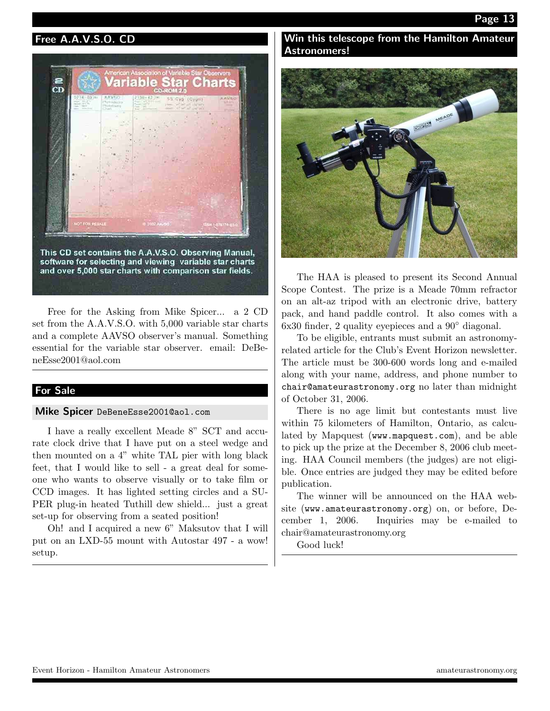# Free A.A.V.S.O. CD



Free for the Asking from Mike Spicer... a 2 CD set from the A.A.V.S.O. with 5,000 variable star charts and a complete AAVSO observer's manual. Something essential for the variable star observer. email: DeBeneEsse2001@aol.com

# For Sale

#### Mike Spicer DeBeneEsse2001@aol.com

I have a really excellent Meade 8" SCT and accurate clock drive that I have put on a steel wedge and then mounted on a 4" white TAL pier with long black feet, that I would like to sell - a great deal for someone who wants to observe visually or to take film or CCD images. It has lighted setting circles and a SU-PER plug-in heated Tuthill dew shield... just a great set-up for observing from a seated position!

Oh! and I acquired a new 6" Maksutov that I will put on an LXD-55 mount with Autostar 497 - a wow! setup.

### Win this telescope from the Hamilton Amateur Astronomers!



The HAA is pleased to present its Second Annual Scope Contest. The prize is a Meade 70mm refractor on an alt-az tripod with an electronic drive, battery pack, and hand paddle control. It also comes with a 6x30 finder, 2 quality eyepieces and a 90◦ diagonal.

To be eligible, entrants must submit an astronomyrelated article for the Club's Event Horizon newsletter. The article must be 300-600 words long and e-mailed along with your name, address, and phone number to chair@amateurastronomy.org no later than midnight of October 31, 2006.

There is no age limit but contestants must live within 75 kilometers of Hamilton, Ontario, as calculated by Mapquest (www.mapquest.com), and be able to pick up the prize at the December 8, 2006 club meeting. HAA Council members (the judges) are not eligible. Once entries are judged they may be edited before publication.

The winner will be announced on the HAA website (www.amateurastronomy.org) on, or before, December 1, 2006. Inquiries may be e-mailed to chair@amateurastronomy.org

Good luck!